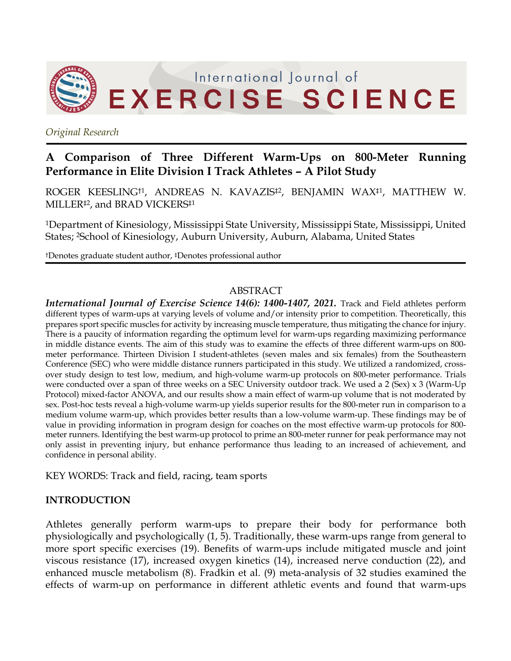

*Original Research*

# **A Comparison of Three Different Warm-Ups on 800-Meter Running Performance in Elite Division I Track Athletes – A Pilot Study**

ROGER KEESLING†1, ANDREAS N. KAVAZIS‡2, BENJAMIN WAX‡1, MATTHEW W. MILLER‡2, and BRAD VICKERS‡1

1Department of Kinesiology, Mississippi State University, Mississippi State, Mississippi, United States; 2School of Kinesiology, Auburn University, Auburn, Alabama, United States

†Denotes graduate student author, ‡Denotes professional author

#### ABSTRACT

*International Journal of Exercise Science 14(6): 1400-1407, 2021.* Track and Field athletes perform different types of warm-ups at varying levels of volume and/or intensity prior to competition. Theoretically, this prepares sport specific muscles for activity by increasing muscle temperature, thus mitigating the chance for injury. There is a paucity of information regarding the optimum level for warm-ups regarding maximizing performance in middle distance events. The aim of this study was to examine the effects of three different warm-ups on 800 meter performance. Thirteen Division I student-athletes (seven males and six females) from the Southeastern Conference (SEC) who were middle distance runners participated in this study. We utilized a randomized, crossover study design to test low, medium, and high-volume warm-up protocols on 800-meter performance. Trials were conducted over a span of three weeks on a SEC University outdoor track. We used a 2 (Sex) x 3 (Warm-Up Protocol) mixed-factor ANOVA, and our results show a main effect of warm-up volume that is not moderated by sex. Post-hoc tests reveal a high-volume warm-up yields superior results for the 800-meter run in comparison to a medium volume warm-up, which provides better results than a low-volume warm-up. These findings may be of value in providing information in program design for coaches on the most effective warm-up protocols for 800 meter runners. Identifying the best warm-up protocol to prime an 800-meter runner for peak performance may not only assist in preventing injury, but enhance performance thus leading to an increased of achievement, and confidence in personal ability.

KEY WORDS: Track and field, racing, team sports

# **INTRODUCTION**

Athletes generally perform warm-ups to prepare their body for performance both physiologically and psychologically (1, 5). Traditionally, these warm-ups range from general to more sport specific exercises (19). Benefits of warm-ups include mitigated muscle and joint viscous resistance (17), increased oxygen kinetics (14), increased nerve conduction (22), and enhanced muscle metabolism (8). Fradkin et al. (9) meta-analysis of 32 studies examined the effects of warm-up on performance in different athletic events and found that warm-ups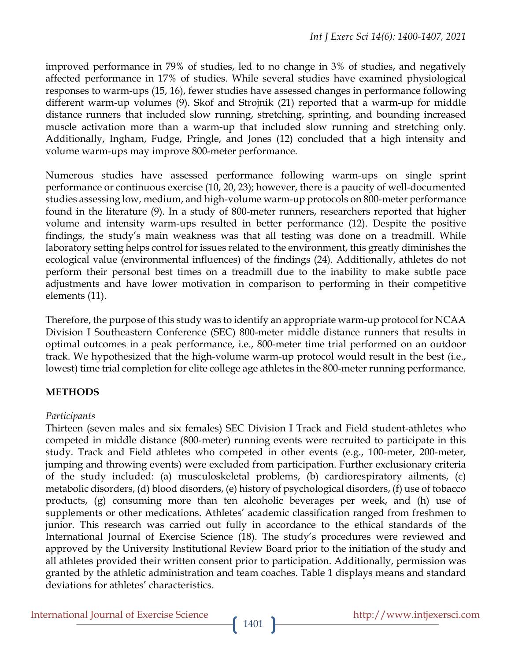improved performance in 79% of studies, led to no change in 3% of studies, and negatively affected performance in 17% of studies. While several studies have examined physiological responses to warm-ups (15, 16), fewer studies have assessed changes in performance following different warm-up volumes (9). Skof and Strojnik (21) reported that a warm-up for middle distance runners that included slow running, stretching, sprinting, and bounding increased muscle activation more than a warm-up that included slow running and stretching only. Additionally, Ingham, Fudge, Pringle, and Jones (12) concluded that a high intensity and volume warm-ups may improve 800-meter performance.

Numerous studies have assessed performance following warm-ups on single sprint performance or continuous exercise (10, 20, 23); however, there is a paucity of well-documented studies assessing low, medium, and high-volume warm-up protocols on 800-meter performance found in the literature (9). In a study of 800-meter runners, researchers reported that higher volume and intensity warm-ups resulted in better performance (12). Despite the positive findings, the study's main weakness was that all testing was done on a treadmill. While laboratory setting helps control for issues related to the environment, this greatly diminishes the ecological value (environmental influences) of the findings (24). Additionally, athletes do not perform their personal best times on a treadmill due to the inability to make subtle pace adjustments and have lower motivation in comparison to performing in their competitive elements (11).

Therefore, the purpose of this study was to identify an appropriate warm-up protocol for NCAA Division I Southeastern Conference (SEC) 800-meter middle distance runners that results in optimal outcomes in a peak performance, i.e., 800-meter time trial performed on an outdoor track. We hypothesized that the high-volume warm-up protocol would result in the best (i.e., lowest) time trial completion for elite college age athletes in the 800-meter running performance.

# **METHODS**

# *Participants*

Thirteen (seven males and six females) SEC Division I Track and Field student-athletes who competed in middle distance (800-meter) running events were recruited to participate in this study. Track and Field athletes who competed in other events (e.g., 100-meter, 200-meter, jumping and throwing events) were excluded from participation. Further exclusionary criteria of the study included: (a) musculoskeletal problems, (b) cardiorespiratory ailments, (c) metabolic disorders, (d) blood disorders, (e) history of psychological disorders, (f) use of tobacco products, (g) consuming more than ten alcoholic beverages per week, and (h) use of supplements or other medications. Athletes' academic classification ranged from freshmen to junior. This research was carried out fully in accordance to the ethical standards of the International Journal of Exercise Science (18). The study's procedures were reviewed and approved by the University Institutional Review Board prior to the initiation of the study and all athletes provided their written consent prior to participation. Additionally, permission was granted by the athletic administration and team coaches. Table 1 displays means and standard deviations for athletes' characteristics.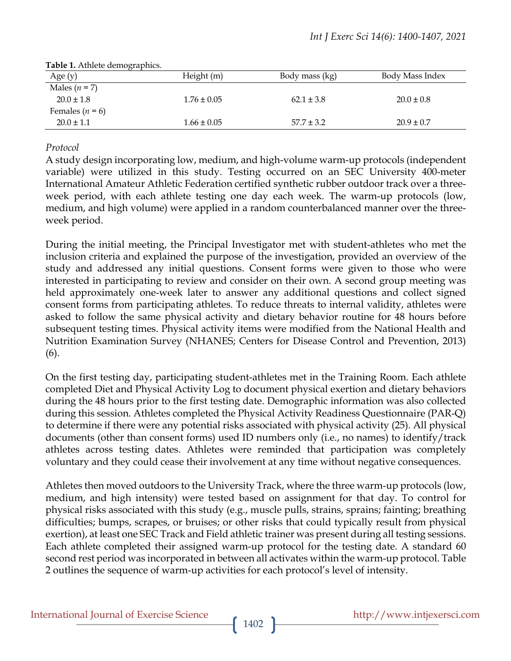| Age $(y)$           | Height (m)      | Body mass (kg) | Body Mass Index |  |  |
|---------------------|-----------------|----------------|-----------------|--|--|
| Males $(n = 7)$     |                 |                |                 |  |  |
| $20.0 \pm 1.8$      | $1.76 \pm 0.05$ | $62.1 \pm 3.8$ | $20.0 \pm 0.8$  |  |  |
| Females ( $n = 6$ ) |                 |                |                 |  |  |
| $20.0 \pm 1.1$      | $1.66 \pm 0.05$ | $57.7 \pm 3.2$ | $20.9 \pm 0.7$  |  |  |

#### **Table 1.** Athlete demographics.

# *Protocol*

A study design incorporating low, medium, and high-volume warm-up protocols (independent variable) were utilized in this study. Testing occurred on an SEC University 400-meter International Amateur Athletic Federation certified synthetic rubber outdoor track over a threeweek period, with each athlete testing one day each week. The warm-up protocols (low, medium, and high volume) were applied in a random counterbalanced manner over the threeweek period.

During the initial meeting, the Principal Investigator met with student-athletes who met the inclusion criteria and explained the purpose of the investigation, provided an overview of the study and addressed any initial questions. Consent forms were given to those who were interested in participating to review and consider on their own. A second group meeting was held approximately one-week later to answer any additional questions and collect signed consent forms from participating athletes. To reduce threats to internal validity, athletes were asked to follow the same physical activity and dietary behavior routine for 48 hours before subsequent testing times. Physical activity items were modified from the National Health and Nutrition Examination Survey (NHANES; Centers for Disease Control and Prevention, 2013) (6).

On the first testing day, participating student-athletes met in the Training Room. Each athlete completed Diet and Physical Activity Log to document physical exertion and dietary behaviors during the 48 hours prior to the first testing date. Demographic information was also collected during this session. Athletes completed the Physical Activity Readiness Questionnaire (PAR-Q) to determine if there were any potential risks associated with physical activity (25). All physical documents (other than consent forms) used ID numbers only (i.e., no names) to identify/track athletes across testing dates. Athletes were reminded that participation was completely voluntary and they could cease their involvement at any time without negative consequences.

Athletes then moved outdoors to the University Track, where the three warm-up protocols (low, medium, and high intensity) were tested based on assignment for that day. To control for physical risks associated with this study (e.g., muscle pulls, strains, sprains; fainting; breathing difficulties; bumps, scrapes, or bruises; or other risks that could typically result from physical exertion), at least one SEC Track and Field athletic trainer was present during all testing sessions. Each athlete completed their assigned warm-up protocol for the testing date. A standard 60 second rest period was incorporated in between all activates within the warm-up protocol. Table 2 outlines the sequence of warm-up activities for each protocol's level of intensity.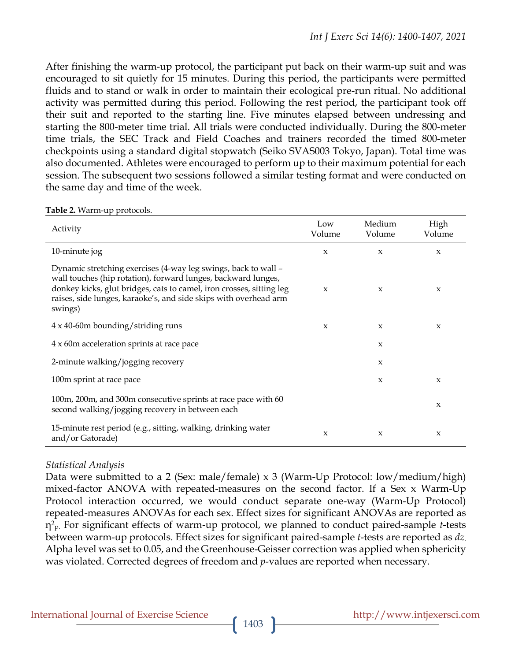After finishing the warm-up protocol, the participant put back on their warm-up suit and was encouraged to sit quietly for 15 minutes. During this period, the participants were permitted fluids and to stand or walk in order to maintain their ecological pre-run ritual. No additional activity was permitted during this period. Following the rest period, the participant took off their suit and reported to the starting line. Five minutes elapsed between undressing and starting the 800-meter time trial. All trials were conducted individually. During the 800-meter time trials, the SEC Track and Field Coaches and trainers recorded the timed 800-meter checkpoints using a standard digital stopwatch (Seiko SVAS003 Tokyo, Japan). Total time was also documented. Athletes were encouraged to perform up to their maximum potential for each session. The subsequent two sessions followed a similar testing format and were conducted on the same day and time of the week.

| Activity                                                                                                                                                                                                                                                                               | Low<br>Volume       | Medium<br>Volume    | High<br>Volume      |
|----------------------------------------------------------------------------------------------------------------------------------------------------------------------------------------------------------------------------------------------------------------------------------------|---------------------|---------------------|---------------------|
| 10-minute jog                                                                                                                                                                                                                                                                          | $\boldsymbol{\chi}$ | $\pmb{\chi}$        | $\mathbf{x}$        |
| Dynamic stretching exercises (4-way leg swings, back to wall –<br>wall touches (hip rotation), forward lunges, backward lunges,<br>donkey kicks, glut bridges, cats to camel, iron crosses, sitting leg<br>raises, side lunges, karaoke's, and side skips with overhead arm<br>swings) | $\boldsymbol{\chi}$ | $\boldsymbol{\chi}$ | X                   |
| $4 \times 40$ -60m bounding/striding runs                                                                                                                                                                                                                                              | $\boldsymbol{\chi}$ | $\boldsymbol{\chi}$ | X                   |
| 4 x 60m acceleration sprints at race pace                                                                                                                                                                                                                                              |                     | $\boldsymbol{\chi}$ |                     |
| 2-minute walking/jogging recovery                                                                                                                                                                                                                                                      |                     | $\pmb{\chi}$        |                     |
| 100m sprint at race pace                                                                                                                                                                                                                                                               |                     | $\pmb{\chi}$        | $\boldsymbol{\chi}$ |
| 100m, 200m, and 300m consecutive sprints at race pace with 60<br>second walking/jogging recovery in between each                                                                                                                                                                       |                     |                     | $\boldsymbol{\chi}$ |
| 15-minute rest period (e.g., sitting, walking, drinking water<br>and/or Gatorade)                                                                                                                                                                                                      | X                   | $\boldsymbol{\chi}$ | X                   |

**Table 2.** Warm-up protocols.

#### *Statistical Analysis*

Data were submitted to a 2 (Sex: male/female) x 3 (Warm-Up Protocol: low/medium/high) mixed-factor ANOVA with repeated-measures on the second factor. If a Sex x Warm-Up Protocol interaction occurred, we would conduct separate one-way (Warm-Up Protocol) repeated-measures ANOVAs for each sex. Effect sizes for significant ANOVAs are reported as η2 p. For significant effects of warm-up protocol, we planned to conduct paired-sample *t*-tests between warm-up protocols. Effect sizes for significant paired-sample *t*-tests are reported as *dz*. Alpha level was set to 0.05, and the Greenhouse-Geisser correction was applied when sphericity was violated. Corrected degrees of freedom and *p*-values are reported when necessary.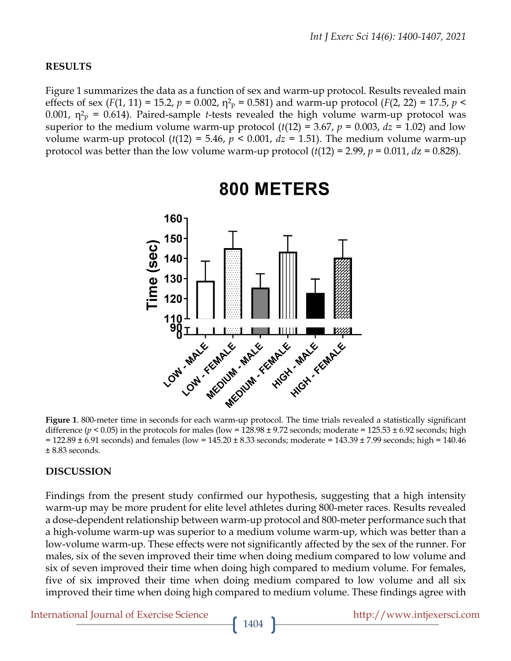#### **RESULTS**

Figure 1 summarizes the data as a function of sex and warm-up protocol. Results revealed main effects of sex ( $F(1, 11) = 15.2$ ,  $p = 0.002$ ,  $\eta^2$ <sub>p</sub> = 0.581) and warm-up protocol ( $F(2, 22) = 17.5$ ,  $p <$ 0.001,  $\eta^2$ <sub>p</sub> = 0.614). Paired-sample *t*-tests revealed the high volume warm-up protocol was superior to the medium volume warm-up protocol  $(t(12) = 3.67, p = 0.003, dz = 1.02)$  and low volume warm-up protocol  $(t(12) = 5.46, p < 0.001, dz = 1.51)$ . The medium volume warm-up protocol was better than the low volume warm-up protocol  $(t(12) = 2.99, p = 0.011, dz = 0.828)$ .



# 800 METERS

**Figure 1**. 800-meter time in seconds for each warm-up protocol. The time trials revealed a statistically significant difference ( $p < 0.05$ ) in the protocols for males (low = 128.98  $\pm$  9.72 seconds; moderate = 125.53  $\pm$  6.92 seconds; high  $= 122.89 \pm 6.91$  seconds) and females (low = 145.20  $\pm$  8.33 seconds; moderate = 143.39  $\pm$  7.99 seconds; high = 140.46 ± 8.83 seconds.

#### **DISCUSSION**

Findings from the present study confirmed our hypothesis, suggesting that a high intensity warm-up may be more prudent for elite level athletes during 800-meter races. Results revealed a dose-dependent relationship between warm-up protocol and 800-meter performance such that a high-volume warm-up was superior to a medium volume warm-up, which was better than a low-volume warm-up. These effects were not significantly affected by the sex of the runner. For males, six of the seven improved their time when doing medium compared to low volume and six of seven improved their time when doing high compared to medium volume. For females, five of six improved their time when doing medium compared to low volume and all six improved their time when doing high compared to medium volume. These findings agree with

International Journal of Exercise Science http://www.intjexersci.com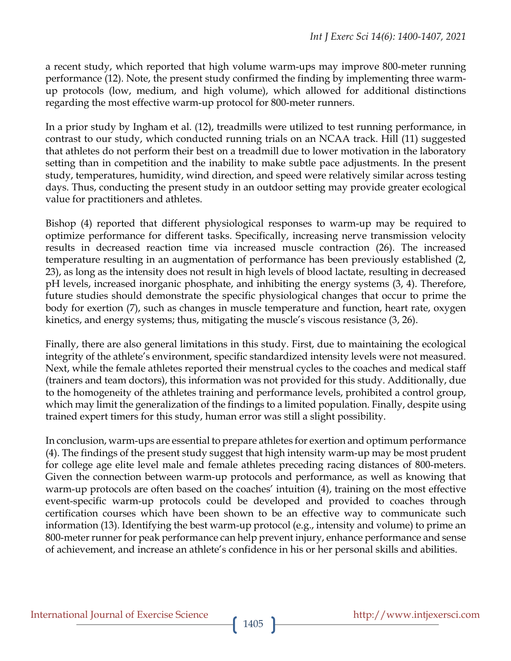a recent study, which reported that high volume warm-ups may improve 800-meter running performance (12). Note, the present study confirmed the finding by implementing three warmup protocols (low, medium, and high volume), which allowed for additional distinctions regarding the most effective warm-up protocol for 800-meter runners.

In a prior study by Ingham et al. (12), treadmills were utilized to test running performance, in contrast to our study, which conducted running trials on an NCAA track. Hill (11) suggested that athletes do not perform their best on a treadmill due to lower motivation in the laboratory setting than in competition and the inability to make subtle pace adjustments. In the present study, temperatures, humidity, wind direction, and speed were relatively similar across testing days. Thus, conducting the present study in an outdoor setting may provide greater ecological value for practitioners and athletes.

Bishop (4) reported that different physiological responses to warm-up may be required to optimize performance for different tasks. Specifically, increasing nerve transmission velocity results in decreased reaction time via increased muscle contraction (26). The increased temperature resulting in an augmentation of performance has been previously established (2, 23), as long as the intensity does not result in high levels of blood lactate, resulting in decreased pH levels, increased inorganic phosphate, and inhibiting the energy systems (3, 4). Therefore, future studies should demonstrate the specific physiological changes that occur to prime the body for exertion (7), such as changes in muscle temperature and function, heart rate, oxygen kinetics, and energy systems; thus, mitigating the muscle's viscous resistance (3, 26).

Finally, there are also general limitations in this study. First, due to maintaining the ecological integrity of the athlete's environment, specific standardized intensity levels were not measured. Next, while the female athletes reported their menstrual cycles to the coaches and medical staff (trainers and team doctors), this information was not provided for this study. Additionally, due to the homogeneity of the athletes training and performance levels, prohibited a control group, which may limit the generalization of the findings to a limited population. Finally, despite using trained expert timers for this study, human error was still a slight possibility.

In conclusion, warm-ups are essential to prepare athletes for exertion and optimum performance (4). The findings of the present study suggest that high intensity warm-up may be most prudent for college age elite level male and female athletes preceding racing distances of 800-meters. Given the connection between warm-up protocols and performance, as well as knowing that warm-up protocols are often based on the coaches' intuition (4), training on the most effective event-specific warm-up protocols could be developed and provided to coaches through certification courses which have been shown to be an effective way to communicate such information (13). Identifying the best warm-up protocol (e.g., intensity and volume) to prime an 800-meter runner for peak performance can help prevent injury, enhance performance and sense of achievement, and increase an athlete's confidence in his or her personal skills and abilities.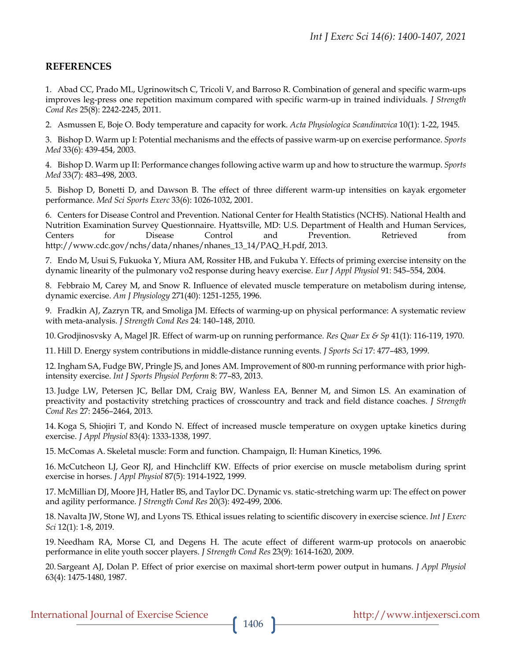# **REFERENCES**

1. Abad CC, Prado ML, Ugrinowitsch C, Tricoli V, and Barroso R. Combination of general and specific warm-ups improves leg-press one repetition maximum compared with specific warm-up in trained individuals. *J Strength Cond Res* 25(8): 2242-2245, 2011.

2. Asmussen E, Boje O. Body temperature and capacity for work. *Acta Physiologica Scandinavica* 10(1): 1-22, 1945.

3. Bishop D. Warm up I: Potential mechanisms and the effects of passive warm-up on exercise performance. *Sports Med* 33(6): 439-454, 2003.

4. Bishop D. Warm up II: Performance changes following active warm up and how to structure the warmup. *Sports Med* 33(7): 483–498, 2003.

5. Bishop D, Bonetti D, and Dawson B. The effect of three different warm-up intensities on kayak ergometer performance. *Med Sci Sports Exerc* 33(6): 1026-1032, 2001.

6. Centers for Disease Control and Prevention. National Center for Health Statistics (NCHS). National Health and Nutrition Examination Survey Questionnaire. Hyattsville, MD: U.S. Department of Health and Human Services, Centers for Disease Control and Prevention. Retrieved from http://www.cdc.gov/nchs/data/nhanes/nhanes\_13\_14/PAQ\_H.pdf, 2013.

7. Endo M, Usui S, Fukuoka Y, Miura AM, Rossiter HB, and Fukuba Y. Effects of priming exercise intensity on the dynamic linearity of the pulmonary vo2 response during heavy exercise. *Eur J Appl Physiol* 91: 545–554, 2004.

8. Febbraio M, Carey M, and Snow R. Influence of elevated muscle temperature on metabolism during intense, dynamic exercise. *Am J Physiology* 271(40): 1251-1255, 1996.

9. Fradkin AJ, Zazryn TR, and Smoliga JM. Effects of warming-up on physical performance: A systematic review with meta-analysis. *J Strength Cond Res* 24: 140–148, 2010.

10. Grodjinosvsky A, Magel JR. Effect of warm-up on running performance. *Res Quar Ex & Sp* 41(1): 116-119, 1970.

11. Hill D. Energy system contributions in middle-distance running events. *J Sports Sci* 17: 477–483, 1999.

12. Ingham SA, Fudge BW, Pringle JS, and Jones AM. Improvement of 800-m running performance with prior highintensity exercise. *Int J Sports Physiol Perform* 8: 77–83, 2013.

13. Judge LW, Petersen JC, Bellar DM, Craig BW, Wanless EA, Benner M, and Simon LS. An examination of preactivity and postactivity stretching practices of crosscountry and track and field distance coaches. *J Strength Cond Res* 27: 2456–2464, 2013.

14. Koga S, Shiojiri T, and Kondo N. Effect of increased muscle temperature on oxygen uptake kinetics during exercise. *J Appl Physiol* 83(4): 1333-1338, 1997.

15. McComas A. Skeletal muscle: Form and function. Champaign, Il: Human Kinetics, 1996.

16. McCutcheon LJ, Geor RJ, and Hinchcliff KW. Effects of prior exercise on muscle metabolism during sprint exercise in horses. *J Appl Physiol* 87(5): 1914-1922, 1999.

17. McMillian DJ, Moore JH, Hatler BS, and Taylor DC. Dynamic vs. static-stretching warm up: The effect on power and agility performance. *J Strength Cond Res* 20(3): 492-499, 2006.

18. Navalta JW, Stone WJ, and Lyons TS. Ethical issues relating to scientific discovery in exercise science. *Int J Exerc Sci* 12(1): 1-8, 2019.

19. Needham RA, Morse CI, and Degens H. The acute effect of different warm-up protocols on anaerobic performance in elite youth soccer players. *J Strength Cond Res* 23(9): 1614-1620, 2009.

20. Sargeant AJ, Dolan P. Effect of prior exercise on maximal short-term power output in humans. *J Appl Physiol* 63(4): 1475-1480, 1987.